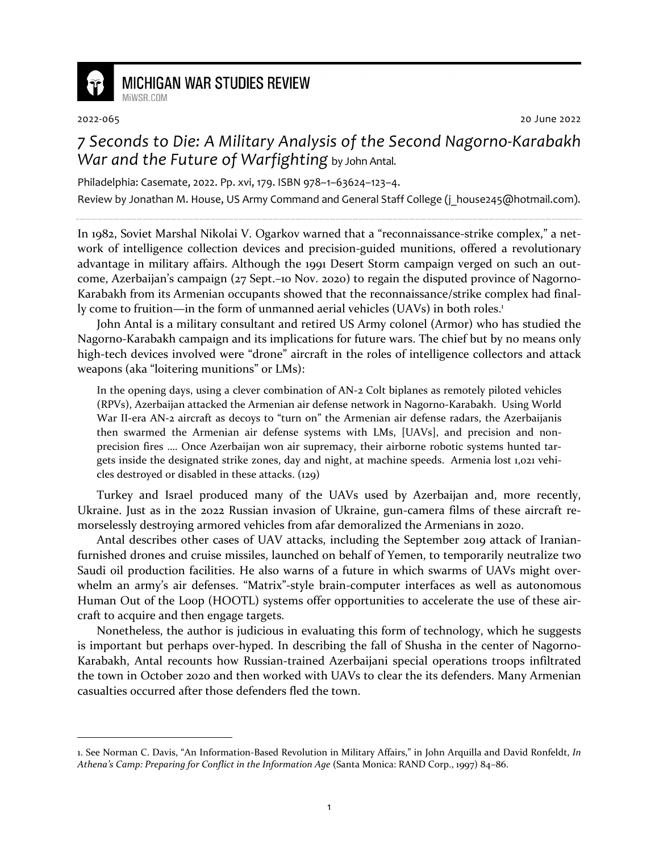

## **MICHIGAN WAR STUDIES REVIEW** MiWSR COM

2022-065 20 June 2022

## *7 Seconds to Die: A Military Analysis of the Second Nagorno-Karabakh War and the Future of Warfighting* by John Antal.

Philadelphia: Casemate, 2022. Pp. xvi, 179. ISBN 978–1–63624–123–4.

Review by Jonathan M. House, US Army Command and General Staff College (j house245@hotmail.com).

In 1982, Soviet Marshal Nikolai V. Ogarkov warned that a "reconnaissance-strike complex," a network of intelligence collection devices and precision-guided munitions, offered a revolutionary advantage in military affairs. Although the 1991 Desert Storm campaign verged on such an outcome, Azerbaijan's campaign (27 Sept.–10 Nov. 2020) to regain the disputed province of Nagorno-Karabakh from its Armenian occupants showed that the reconnaissance/strike complex had finally come to fruition—in the form of unmanned aerial vehicles (UAVs) in both roles.<sup>1</sup>

John Antal is a military consultant and retired US Army colonel (Armor) who has studied the Nagorno-Karabakh campaign and its implications for future wars. The chief but by no means only high-tech devices involved were "drone" aircraft in the roles of intelligence collectors and attack weapons (aka "loitering munitions" or LMs):

In the opening days, using a clever combination of AN-2 Colt biplanes as remotely piloted vehicles (RPVs), Azerbaijan attacked the Armenian air defense network in Nagorno-Karabakh. Using World War II-era AN-2 aircraft as decoys to "turn on" the Armenian air defense radars, the Azerbaijanis then swarmed the Armenian air defense systems with LMs, [UAVs], and precision and nonprecision fires …. Once Azerbaijan won air supremacy, their airborne robotic systems hunted targets inside the designated strike zones, day and night, at machine speeds. Armenia lost 1,021 vehicles destroyed or disabled in these attacks. (129)

Turkey and Israel produced many of the UAVs used by Azerbaijan and, more recently, Ukraine. Just as in the 2022 Russian invasion of Ukraine, gun-camera films of these aircraft remorselessly destroying armored vehicles from afar demoralized the Armenians in 2020.

Antal describes other cases of UAV attacks, including the September 2019 attack of Iranianfurnished drones and cruise missiles, launched on behalf of Yemen, to temporarily neutralize two Saudi oil production facilities. He also warns of a future in which swarms of UAVs might overwhelm an army's air defenses. "Matrix"-style brain-computer interfaces as well as autonomous Human Out of the Loop (HOOTL) systems offer opportunities to accelerate the use of these aircraft to acquire and then engage targets.

Nonetheless, the author is judicious in evaluating this form of technology, which he suggests is important but perhaps over-hyped. In describing the fall of Shusha in the center of Nagorno-Karabakh, Antal recounts how Russian-trained Azerbaijani special operations troops infiltrated the town in October 2020 and then worked with UAVs to clear the its defenders. Many Armenian casualties occurred after those defenders fled the town.

<sup>1.</sup> See Norman C. Davis, "An Information-Based Revolution in Military Affairs," in John Arquilla and David Ronfeldt, *In Athena's Camp: Preparing for Conflict in the Information Age* (Santa Monica: RAND Corp., 1997) 84–86.